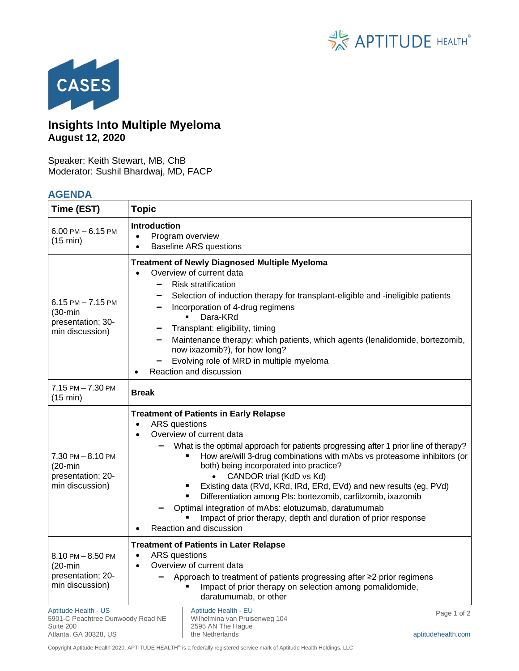



## **Insights Into Multiple Myeloma August 12, 2020**

Speaker: Keith Stewart, MB, ChB Moderator: Sushil Bhardwaj, MD, FACP

## **AGENDA**

| Time (EST)                                                                                             | <b>Topic</b>                                                                                                                                                                                                                                                                                                                                                                                                                                                                                                                                                                                                                                      |
|--------------------------------------------------------------------------------------------------------|---------------------------------------------------------------------------------------------------------------------------------------------------------------------------------------------------------------------------------------------------------------------------------------------------------------------------------------------------------------------------------------------------------------------------------------------------------------------------------------------------------------------------------------------------------------------------------------------------------------------------------------------------|
| $6.00$ PM $- 6.15$ PM<br>(15 min)                                                                      | <b>Introduction</b><br>Program overview<br>$\bullet$<br><b>Baseline ARS questions</b><br>$\bullet$                                                                                                                                                                                                                                                                                                                                                                                                                                                                                                                                                |
| $6.15$ PM $- 7.15$ PM<br>$(30 - min)$<br>presentation; 30-<br>min discussion)                          | <b>Treatment of Newly Diagnosed Multiple Myeloma</b><br>Overview of current data<br><b>Risk stratification</b><br>Selection of induction therapy for transplant-eligible and -ineligible patients<br>-<br>Incorporation of 4-drug regimens<br>Dara-KRd<br>Transplant: eligibility, timing<br>Maintenance therapy: which patients, which agents (lenalidomide, bortezomib,<br>now ixazomib?), for how long?<br>Evolving role of MRD in multiple myeloma<br>Reaction and discussion                                                                                                                                                                 |
| 7.15 PM - 7.30 PM<br>(15 min)                                                                          | <b>Break</b>                                                                                                                                                                                                                                                                                                                                                                                                                                                                                                                                                                                                                                      |
| 7.30 PM - 8.10 PM<br>$(20 - min)$<br>presentation; 20-<br>min discussion)                              | <b>Treatment of Patients in Early Relapse</b><br><b>ARS</b> questions<br>$\bullet$<br>Overview of current data<br>What is the optimal approach for patients progressing after 1 prior line of therapy?<br>How are/will 3-drug combinations with mAbs vs proteasome inhibitors (or<br>both) being incorporated into practice?<br>CANDOR trial (KdD vs Kd)<br>Existing data (RVd, KRd, IRd, ERd, EVd) and new results (eg, PVd)<br>Differentiation among PIs: bortezomib, carfilzomib, ixazomib<br>Optimal integration of mAbs: elotuzumab, daratumumab<br>Impact of prior therapy, depth and duration of prior response<br>Reaction and discussion |
| 8.10 PM - 8.50 PM<br>$(20 - min)$<br>presentation; 20-<br>min discussion)                              | <b>Treatment of Patients in Later Relapse</b><br>ARS questions<br>$\bullet$<br>Overview of current data<br>$\bullet$<br>Approach to treatment of patients progressing after ≥2 prior regimens<br>Impact of prior therapy on selection among pomalidomide,<br>daratumumab, or other                                                                                                                                                                                                                                                                                                                                                                |
| <b>Aptitude Health - US</b><br>5901-C Peachtree Dunwoody Road NE<br>Suite 200<br>Atlanta, GA 30328, US | Aptitude Health - EU<br>Page 1 of 2<br>Wilhelmina van Pruisenweg 104<br>2595 AN The Hague<br>the Netherlands<br>aptitudehealth.com                                                                                                                                                                                                                                                                                                                                                                                                                                                                                                                |

Copyright Aptitude Health 2020. APTITUDE HEALTH® is a federally registered service mark of Aptitude Health Holdings, LLC